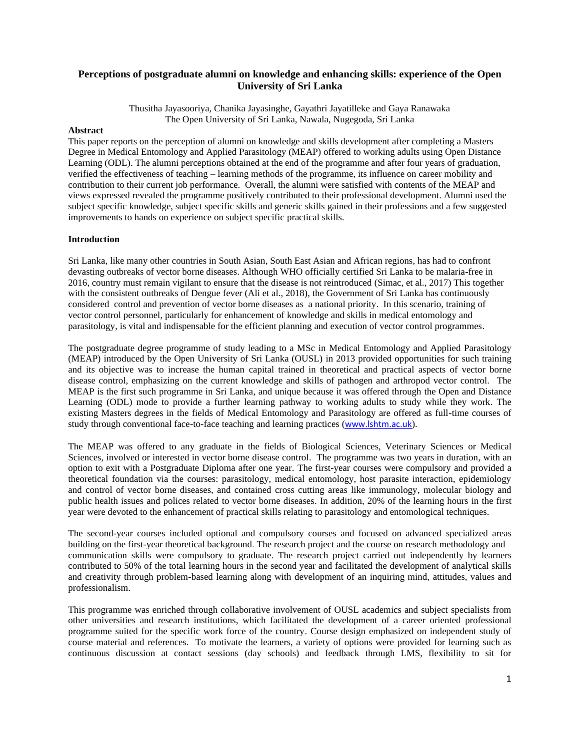# **Perceptions of postgraduate alumni on knowledge and enhancing skills: experience of the Open University of Sri Lanka**

Thusitha Jayasooriya, Chanika Jayasinghe, Gayathri Jayatilleke and Gaya Ranawaka The Open University of Sri Lanka, Nawala, Nugegoda, Sri Lanka

### **Abstract**

This paper reports on the perception of alumni on knowledge and skills development after completing a Masters Degree in Medical Entomology and Applied Parasitology (MEAP) offered to working adults using Open Distance Learning (ODL). The alumni perceptions obtained at the end of the programme and after four years of graduation, verified the effectiveness of teaching – learning methods of the programme, its influence on career mobility and contribution to their current job performance. Overall, the alumni were satisfied with contents of the MEAP and views expressed revealed the programme positively contributed to their professional development. Alumni used the subject specific knowledge, subject specific skills and generic skills gained in their professions and a few suggested improvements to hands on experience on subject specific practical skills.

#### **Introduction**

Sri Lanka, like many other countries in South Asian, South East Asian and African regions, has had to confront devasting outbreaks of vector borne diseases. Although WHO officially certified Sri Lanka to be malaria-free in 2016, country must remain vigilant to ensure that the disease is not reintroduced (Simac, et al., 2017) This together with the consistent outbreaks of Dengue fever (Ali et al., 2018), the Government of Sri Lanka has continuously considered control and prevention of vector borne diseases as a national priority. In this scenario, training of vector control personnel, particularly for enhancement of knowledge and skills in medical entomology and parasitology, is vital and indispensable for the efficient planning and execution of vector control programmes.

The postgraduate degree programme of study leading to a MSc in Medical Entomology and Applied Parasitology (MEAP) introduced by the Open University of Sri Lanka (OUSL) in 2013 provided opportunities for such training and its objective was to increase the human capital trained in theoretical and practical aspects of vector borne disease control, emphasizing on the current knowledge and skills of pathogen and arthropod vector control. The MEAP is the first such programme in Sri Lanka, and unique because it was offered through the Open and Distance Learning (ODL) mode to provide a further learning pathway to working adults to study while they work. The existing Masters degrees in the fields of Medical Entomology and Parasitology are offered as full-time courses of study through conventional face-to-face teaching and learning practices ([www.lshtm.ac.uk](http://www.lshtm.ac.uk/)).

The MEAP was offered to any graduate in the fields of Biological Sciences, Veterinary Sciences or Medical Sciences, involved or interested in vector borne disease control. The programme was two years in duration, with an option to exit with a Postgraduate Diploma after one year. The first-year courses were compulsory and provided a theoretical foundation via the courses: parasitology, medical entomology, host parasite interaction, epidemiology and control of vector borne diseases, and contained cross cutting areas like immunology, molecular biology and public health issues and polices related to vector borne diseases. In addition, 20% of the learning hours in the first year were devoted to the enhancement of practical skills relating to parasitology and entomological techniques.

The second-year courses included optional and compulsory courses and focused on advanced specialized areas building on the first-year theoretical background. The research project and the course on research methodology and communication skills were compulsory to graduate. The research project carried out independently by learners contributed to 50% of the total learning hours in the second year and facilitated the development of analytical skills and creativity through problem-based learning along with development of an inquiring mind, attitudes, values and professionalism.

This programme was enriched through collaborative involvement of OUSL academics and subject specialists from other universities and research institutions, which facilitated the development of a career oriented professional programme suited for the specific work force of the country. Course design emphasized on independent study of course material and references. To motivate the learners, a variety of options were provided for learning such as continuous discussion at contact sessions (day schools) and feedback through LMS, flexibility to sit for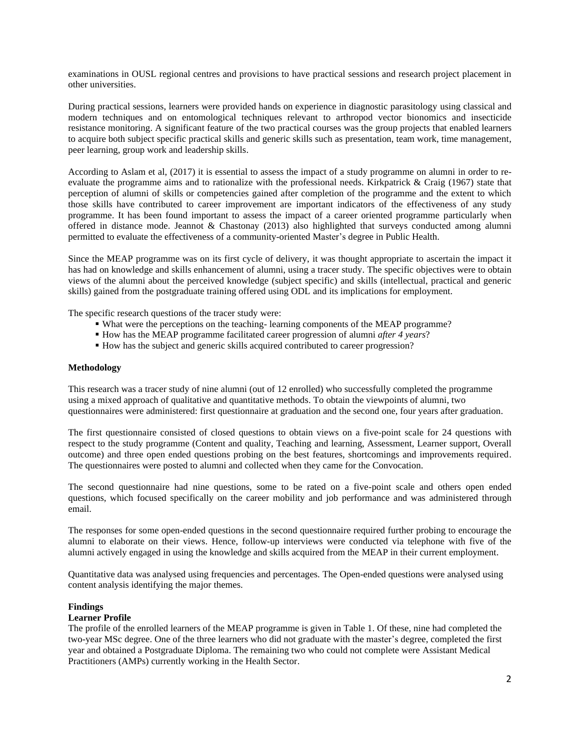examinations in OUSL regional centres and provisions to have practical sessions and research project placement in other universities.

During practical sessions, learners were provided hands on experience in diagnostic parasitology using classical and modern techniques and on entomological techniques relevant to arthropod vector bionomics and insecticide resistance monitoring. A significant feature of the two practical courses was the group projects that enabled learners to acquire both subject specific practical skills and generic skills such as presentation, team work, time management, peer learning, group work and leadership skills.

According to Aslam et al, (2017) it is essential to assess the impact of a study programme on alumni in order to reevaluate the programme aims and to rationalize with the professional needs. Kirkpatrick & Craig (1967) state that perception of alumni of skills or competencies gained after completion of the programme and the extent to which those skills have contributed to career improvement are important indicators of the effectiveness of any study programme. It has been found important to assess the impact of a career oriented programme particularly when offered in distance mode. Jeannot & Chastonay (2013) also highlighted that surveys conducted among alumni permitted to evaluate the effectiveness of a community-oriented Master's degree in Public Health.

Since the MEAP programme was on its first cycle of delivery, it was thought appropriate to ascertain the impact it has had on knowledge and skills enhancement of alumni, using a tracer study. The specific objectives were to obtain views of the alumni about the perceived knowledge (subject specific) and skills (intellectual, practical and generic skills) gained from the postgraduate training offered using ODL and its implications for employment.

The specific research questions of the tracer study were:

- What were the perceptions on the teaching- learning components of the MEAP programme?
- How has the MEAP programme facilitated career progression of alumni *after 4 years*?
- How has the subject and generic skills acquired contributed to career progression?

### **Methodology**

This research was a tracer study of nine alumni (out of 12 enrolled) who successfully completed the programme using a mixed approach of qualitative and quantitative methods. To obtain the viewpoints of alumni, two questionnaires were administered: first questionnaire at graduation and the second one, four years after graduation.

The first questionnaire consisted of closed questions to obtain views on a five-point scale for 24 questions with respect to the study programme (Content and quality, Teaching and learning, Assessment, Learner support, Overall outcome) and three open ended questions probing on the best features, shortcomings and improvements required. The questionnaires were posted to alumni and collected when they came for the Convocation.

The second questionnaire had nine questions, some to be rated on a five-point scale and others open ended questions, which focused specifically on the career mobility and job performance and was administered through email.

The responses for some open-ended questions in the second questionnaire required further probing to encourage the alumni to elaborate on their views. Hence, follow-up interviews were conducted via telephone with five of the alumni actively engaged in using the knowledge and skills acquired from the MEAP in their current employment.

Quantitative data was analysed using frequencies and percentages. The Open-ended questions were analysed using content analysis identifying the major themes.

# **Findings**

#### **Learner Profile**

The profile of the enrolled learners of the MEAP programme is given in Table 1. Of these, nine had completed the two-year MSc degree. One of the three learners who did not graduate with the master's degree, completed the first year and obtained a Postgraduate Diploma. The remaining two who could not complete were Assistant Medical Practitioners (AMPs) currently working in the Health Sector.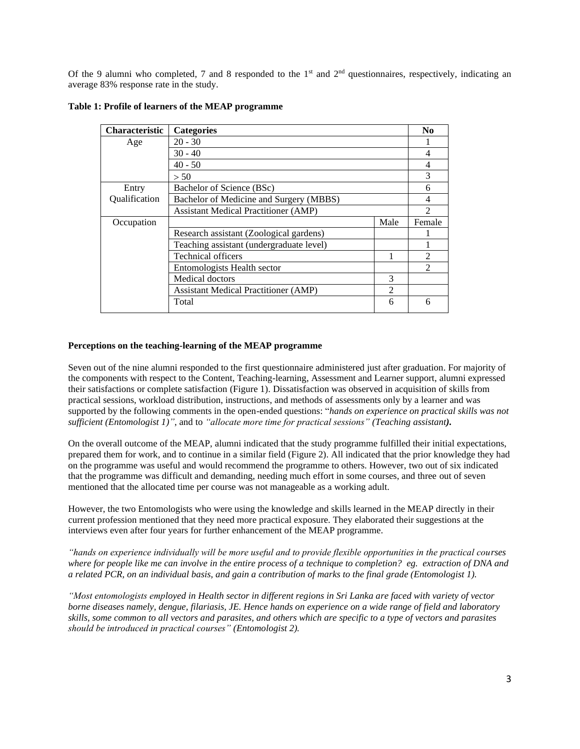Of the 9 alumni who completed, 7 and 8 responded to the  $1<sup>st</sup>$  and  $2<sup>nd</sup>$  questionnaires, respectively, indicating an average 83% response rate in the study.

| <b>Characteristic</b> | <b>Categories</b>                           |      | $\bf N$ <sub>0</sub> |
|-----------------------|---------------------------------------------|------|----------------------|
| Age                   | $20 - 30$                                   |      |                      |
|                       | $30 - 40$                                   |      | 4                    |
|                       | $40 - 50$                                   |      | 4                    |
|                       | > 50                                        |      | 3                    |
| Entry                 | Bachelor of Science (BSc)                   |      | 6                    |
| Qualification         | Bachelor of Medicine and Surgery (MBBS)     |      | 4                    |
|                       | <b>Assistant Medical Practitioner (AMP)</b> |      | $\mathcal{D}$        |
| Occupation            |                                             | Male | Female               |
|                       | Research assistant (Zoological gardens)     |      |                      |
|                       | Teaching assistant (undergraduate level)    |      |                      |
|                       | Technical officers                          |      |                      |
|                       | Entomologists Health sector                 |      | $\mathfrak{D}$       |
|                       | Medical doctors                             | 3    |                      |
|                       | <b>Assistant Medical Practitioner (AMP)</b> | 2    |                      |
|                       | Total                                       | 6    | 6                    |

**Table 1: Profile of learners of the MEAP programme** 

### **Perceptions on the teaching-learning of the MEAP programme**

Seven out of the nine alumni responded to the first questionnaire administered just after graduation. For majority of the components with respect to the Content, Teaching-learning, Assessment and Learner support, alumni expressed their satisfactions or complete satisfaction (Figure 1). Dissatisfaction was observed in acquisition of skills from practical sessions, workload distribution, instructions, and methods of assessments only by a learner and was supported by the following comments in the open-ended questions: "*hands on experience on practical skills was not sufficient (Entomologist 1)"*, and to *"allocate more time for practical sessions" (Teaching assistant).*

On the overall outcome of the MEAP, alumni indicated that the study programme fulfilled their initial expectations, prepared them for work, and to continue in a similar field (Figure 2). All indicated that the prior knowledge they had on the programme was useful and would recommend the programme to others. However, two out of six indicated that the programme was difficult and demanding, needing much effort in some courses, and three out of seven mentioned that the allocated time per course was not manageable as a working adult.

However, the two Entomologists who were using the knowledge and skills learned in the MEAP directly in their current profession mentioned that they need more practical exposure. They elaborated their suggestions at the interviews even after four years for further enhancement of the MEAP programme.

*"hands on experience individually will be more useful and to provide flexible opportunities in the practical courses where for people like me can involve in the entire process of a technique to completion? eg. extraction of DNA and a related PCR, on an individual basis, and gain a contribution of marks to the final grade (Entomologist 1).* 

*"Most entomologists employed in Health sector in different regions in Sri Lanka are faced with variety of vector borne diseases namely, dengue, filariasis, JE. Hence hands on experience on a wide range of field and laboratory skills, some common to all vectors and parasites, and others which are specific to a type of vectors and parasites should be introduced in practical courses" (Entomologist 2).*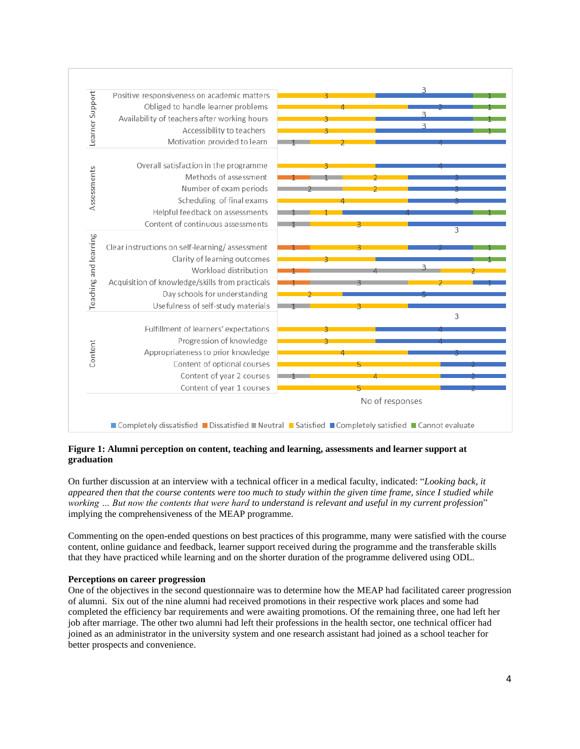

# **Figure 1: Alumni perception on content, teaching and learning, assessments and learner support at graduation**

On further discussion at an interview with a technical officer in a medical faculty, indicated: "*Looking back, it appeared then that the course contents were too much to study within the given time frame, since I studied while working … But now the contents that were hard to understand is relevant and useful in my current profession*" implying the comprehensiveness of the MEAP programme.

Commenting on the open-ended questions on best practices of this programme, many were satisfied with the course content, online guidance and feedback, learner support received during the programme and the transferable skills that they have practiced while learning and on the shorter duration of the programme delivered using ODL.

# **Perceptions on career progression**

One of the objectives in the second questionnaire was to determine how the MEAP had facilitated career progression of alumni. Six out of the nine alumni had received promotions in their respective work places and some had completed the efficiency bar requirements and were awaiting promotions. Of the remaining three, one had left her job after marriage. The other two alumni had left their professions in the health sector, one technical officer had joined as an administrator in the university system and one research assistant had joined as a school teacher for better prospects and convenience.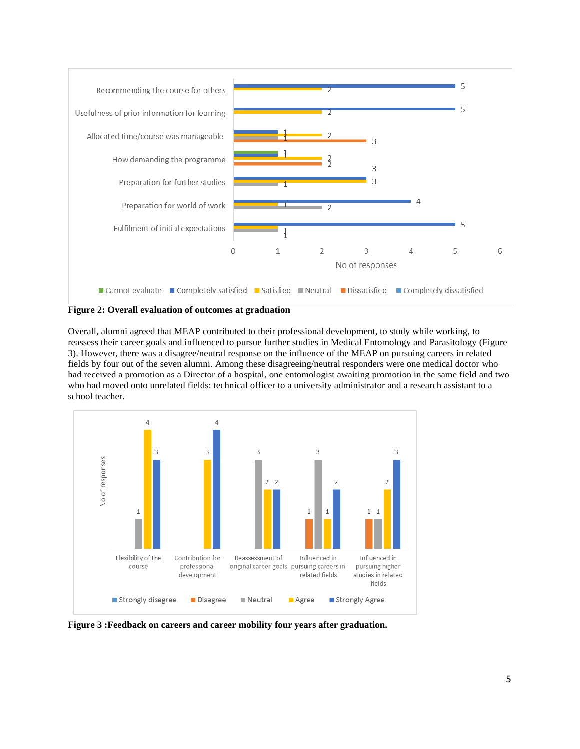

**Figure 2: Overall evaluation of outcomes at graduation**

Overall, alumni agreed that MEAP contributed to their professional development, to study while working, to reassess their career goals and influenced to pursue further studies in Medical Entomology and Parasitology (Figure 3). However, there was a disagree/neutral response on the influence of the MEAP on pursuing careers in related fields by four out of the seven alumni. Among these disagreeing/neutral responders were one medical doctor who had received a promotion as a Director of a hospital, one entomologist awaiting promotion in the same field and two who had moved onto unrelated fields: technical officer to a university administrator and a research assistant to a school teacher.



**Figure 3 :Feedback on careers and career mobility four years after graduation.**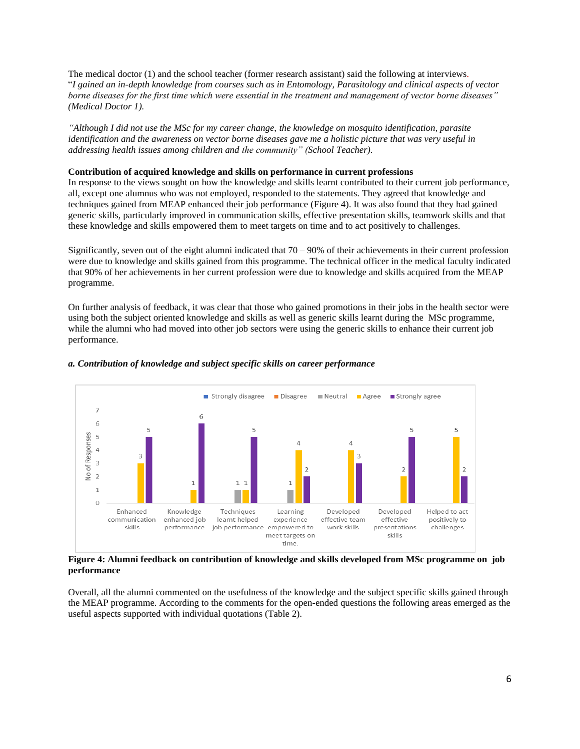The medical doctor (1) and the school teacher (former research assistant) said the following at interviews. "*I gained an in-depth knowledge from courses such as in Entomology, Parasitology and clinical aspects of vector borne diseases for the first time which were essential in the treatment and management of vector borne diseases" (Medical Doctor 1).*

*"Although I did not use the MSc for my career change, the knowledge on mosquito identification, parasite identification and the awareness on vector borne diseases gave me a holistic picture that was very useful in addressing health issues among children and the community" (School Teacher).* 

#### **Contribution of acquired knowledge and skills on performance in current professions**

In response to the views sought on how the knowledge and skills learnt contributed to their current job performance, all, except one alumnus who was not employed, responded to the statements. They agreed that knowledge and techniques gained from MEAP enhanced their job performance (Figure 4). It was also found that they had gained generic skills, particularly improved in communication skills, effective presentation skills, teamwork skills and that these knowledge and skills empowered them to meet targets on time and to act positively to challenges.

Significantly, seven out of the eight alumni indicated that  $70 - 90\%$  of their achievements in their current profession were due to knowledge and skills gained from this programme. The technical officer in the medical faculty indicated that 90% of her achievements in her current profession were due to knowledge and skills acquired from the MEAP programme.

On further analysis of feedback, it was clear that those who gained promotions in their jobs in the health sector were using both the subject oriented knowledge and skills as well as generic skills learnt during the MSc programme, while the alumni who had moved into other job sectors were using the generic skills to enhance their current job performance.



#### *a. Contribution of knowledge and subject specific skills on career performance*

**Figure 4: Alumni feedback on contribution of knowledge and skills developed from MSc programme on job performance**

Overall, all the alumni commented on the usefulness of the knowledge and the subject specific skills gained through the MEAP programme. According to the comments for the open-ended questions the following areas emerged as the useful aspects supported with individual quotations (Table 2).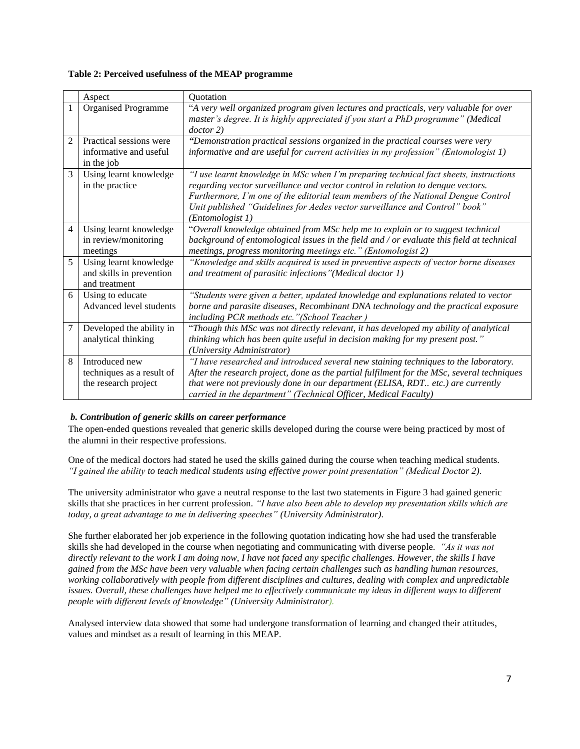# **Table 2: Perceived usefulness of the MEAP programme**

|                | Aspect                                                              | Quotation                                                                                                                                                                                                                                                                                                                                                        |
|----------------|---------------------------------------------------------------------|------------------------------------------------------------------------------------------------------------------------------------------------------------------------------------------------------------------------------------------------------------------------------------------------------------------------------------------------------------------|
| $\mathbf{1}$   | <b>Organised Programme</b>                                          | "A very well organized program given lectures and practicals, very valuable for over<br>master's degree. It is highly appreciated if you start a PhD programme" (Medical<br>doctor 2)                                                                                                                                                                            |
| $\overline{2}$ | Practical sessions were<br>informative and useful<br>in the job     | "Demonstration practical sessions organized in the practical courses were very<br>informative and are useful for current activities in my profession" (Entomologist 1)                                                                                                                                                                                           |
| 3              | Using learnt knowledge<br>in the practice                           | "I use learnt knowledge in MSc when I'm preparing technical fact sheets, instructions<br>regarding vector surveillance and vector control in relation to dengue vectors.<br>Furthermore, I'm one of the editorial team members of the National Dengue Control<br>Unit published "Guidelines for Aedes vector surveillance and Control" book"<br>(Entomologist 1) |
| 4              | Using learnt knowledge<br>in review/monitoring<br>meetings          | "Overall knowledge obtained from MSc help me to explain or to suggest technical<br>background of entomological issues in the field and / or evaluate this field at technical<br>meetings, progress monitoring meetings etc." (Entomologist 2)                                                                                                                    |
| 5              | Using learnt knowledge<br>and skills in prevention<br>and treatment | "Knowledge and skills acquired is used in preventive aspects of vector borne diseases<br>and treatment of parasitic infections" (Medical doctor 1)                                                                                                                                                                                                               |
| 6              | Using to educate<br>Advanced level students                         | "Students were given a better, updated knowledge and explanations related to vector<br>borne and parasite diseases, Recombinant DNA technology and the practical exposure<br>including PCR methods etc."(School Teacher)                                                                                                                                         |
| $\overline{7}$ | Developed the ability in<br>analytical thinking                     | "Though this MSc was not directly relevant, it has developed my ability of analytical<br>thinking which has been quite useful in decision making for my present post."<br>(University Administrator)                                                                                                                                                             |
| 8              | Introduced new<br>techniques as a result of<br>the research project | "I have researched and introduced several new staining techniques to the laboratory.<br>After the research project, done as the partial fulfilment for the MSc, several techniques<br>that were not previously done in our department (ELISA, RDT etc.) are currently<br>carried in the department" (Technical Officer, Medical Faculty)                         |

# *b. Contribution of generic skills on career performance*

The open-ended questions revealed that generic skills developed during the course were being practiced by most of the alumni in their respective professions.

One of the medical doctors had stated he used the skills gained during the course when teaching medical students*. "I gained the ability to teach medical students using effective power point presentation" (Medical Doctor 2).*

The university administrator who gave a neutral response to the last two statements in Figure 3 had gained generic skills that she practices in her current profession. *"I have also been able to develop my presentation skills which are today, a great advantage to me in delivering speeches" (University Administrator).* 

She further elaborated her job experience in the following quotation indicating how she had used the transferable skills she had developed in the course when negotiating and communicating with diverse people. *"As it was not directly relevant to the work I am doing now, I have not faced any specific challenges. However, the skills I have gained from the MSc have been very valuable when facing certain challenges such as handling human resources, working collaboratively with people from different disciplines and cultures, dealing with complex and unpredictable issues. Overall, these challenges have helped me to effectively communicate my ideas in different ways to different people with different levels of knowledge" (University Administrator).*

Analysed interview data showed that some had undergone transformation of learning and changed their attitudes, values and mindset as a result of learning in this MEAP.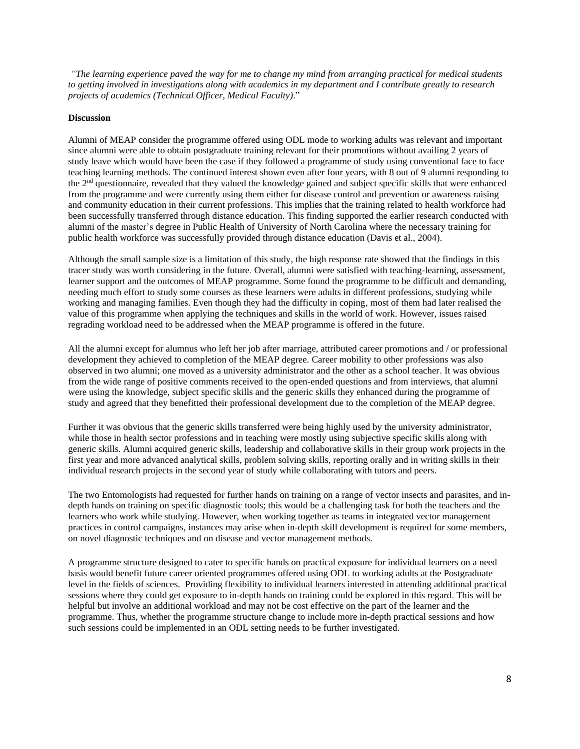*"The learning experience paved the way for me to change my mind from arranging practical for medical students to getting involved in investigations along with academics in my department and I contribute greatly to research projects of academics (Technical Officer, Medical Faculty)*."

#### **Discussion**

Alumni of MEAP consider the programme offered using ODL mode to working adults was relevant and important since alumni were able to obtain postgraduate training relevant for their promotions without availing 2 years of study leave which would have been the case if they followed a programme of study using conventional face to face teaching learning methods. The continued interest shown even after four years, with 8 out of 9 alumni responding to the 2nd questionnaire, revealed that they valued the knowledge gained and subject specific skills that were enhanced from the programme and were currently using them either for disease control and prevention or awareness raising and community education in their current professions. This implies that the training related to health workforce had been successfully transferred through distance education. This finding supported the earlier research conducted with alumni of the master's degree in Public Health of University of North Carolina where the necessary training for public health workforce was successfully provided through distance education (Davis et al., 2004).

Although the small sample size is a limitation of this study, the high response rate showed that the findings in this tracer study was worth considering in the future. Overall, alumni were satisfied with teaching-learning, assessment, learner support and the outcomes of MEAP programme. Some found the programme to be difficult and demanding, needing much effort to study some courses as these learners were adults in different professions, studying while working and managing families. Even though they had the difficulty in coping, most of them had later realised the value of this programme when applying the techniques and skills in the world of work. However, issues raised regrading workload need to be addressed when the MEAP programme is offered in the future.

All the alumni except for alumnus who left her job after marriage, attributed career promotions and / or professional development they achieved to completion of the MEAP degree. Career mobility to other professions was also observed in two alumni; one moved as a university administrator and the other as a school teacher. It was obvious from the wide range of positive comments received to the open-ended questions and from interviews, that alumni were using the knowledge, subject specific skills and the generic skills they enhanced during the programme of study and agreed that they benefitted their professional development due to the completion of the MEAP degree.

Further it was obvious that the generic skills transferred were being highly used by the university administrator, while those in health sector professions and in teaching were mostly using subjective specific skills along with generic skills. Alumni acquired generic skills, leadership and collaborative skills in their group work projects in the first year and more advanced analytical skills, problem solving skills, reporting orally and in writing skills in their individual research projects in the second year of study while collaborating with tutors and peers.

The two Entomologists had requested for further hands on training on a range of vector insects and parasites, and indepth hands on training on specific diagnostic tools; this would be a challenging task for both the teachers and the learners who work while studying. However, when working together as teams in integrated vector management practices in control campaigns, instances may arise when in-depth skill development is required for some members, on novel diagnostic techniques and on disease and vector management methods.

A programme structure designed to cater to specific hands on practical exposure for individual learners on a need basis would benefit future career oriented programmes offered using ODL to working adults at the Postgraduate level in the fields of sciences. Providing flexibility to individual learners interested in attending additional practical sessions where they could get exposure to in-depth hands on training could be explored in this regard. This will be helpful but involve an additional workload and may not be cost effective on the part of the learner and the programme. Thus, whether the programme structure change to include more in-depth practical sessions and how such sessions could be implemented in an ODL setting needs to be further investigated.